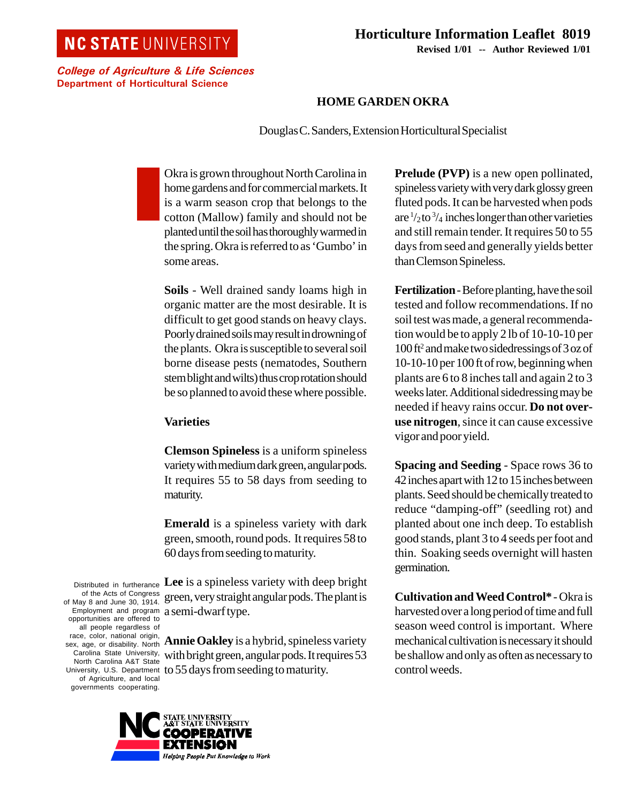## **NC STATE UNIVERSITY**

College of Agriculture & Life Sciences Department of Horticultural Science

## **Horticulture Information Leaflet 8019 Revised 1/01 -- Author Reviewed 1/01**

## **HOME GARDEN OKRA**

Douglas C. Sanders, Extension Horticultural Specialist

Okra is grown throughout North Carolina in home gardens and for commercial markets. It is a warm season crop that belongs to the cotton (Mallow) family and should not be planted until the soil has thoroughly warmed in the spring. Okra is referred to as 'Gumbo' in some areas.

**Soils** - Well drained sandy loams high in organic matter are the most desirable. It is difficult to get good stands on heavy clays. Poorly drained soils may result in drowning of the plants. Okra is susceptible to several soil borne disease pests (nematodes, Southern stem blight and wilts) thus crop rotation should be so planned to avoid these where possible.

## **Varieties**

**Clemson Spineless** is a uniform spineless variety with medium dark green, angular pods. It requires 55 to 58 days from seeding to maturity.

**Emerald** is a spineless variety with dark green, smooth, round pods. It requires 58 to 60 days from seeding to maturity.

Distributed in furtherance of May 8 and June 30, 1914. Employment and program opportunities are offered to **Lee** is a spineless variety with deep bright green, very straight angular pods. The plant is a semi-dwarf type.

University, U.S. Department to 55 days from seeding to maturity. **Annie Oakley** is a hybrid, spineless variety with bright green, angular pods. It requires 53

> E UNIVE**R**SITY<br>STATE UNIVE**R**SITY EXTENSION Helping People Put Knowledge to Work

of the Acts of Congress

all people regardless of race, color, national origin, sex, age, or disability. North Carolina State University, North Carolina A&T State

of Agriculture, and local governments cooperating.

**Prelude (PVP)** is a new open pollinated, spineless variety with very dark glossy green fluted pods. It can be harvested when pods are  $\frac{1}{2}$  to  $\frac{3}{4}$  inches longer than other varieties and still remain tender. It requires 50 to 55 days from seed and generally yields better than Clemson Spineless.

**Fertilization** - Before planting, have the soil tested and follow recommendations. If no soil test was made, a general recommendation would be to apply 2 lb of 10-10-10 per 100 ft2 and make two sidedressings of 3 oz of 10-10-10 per 100 ft of row, beginning when plants are 6 to 8 inches tall and again 2 to 3 weeks later. Additional sidedressing may be needed if heavy rains occur. **Do not overuse nitrogen**, since it can cause excessive vigor and poor yield.

**Spacing and Seeding** - Space rows 36 to 42 inches apart with 12 to 15 inches between plants. Seed should be chemically treated to reduce "damping-off" (seedling rot) and planted about one inch deep. To establish good stands, plant 3 to 4 seeds per foot and thin. Soaking seeds overnight will hasten germination.

**Cultivation and Weed Control\*** - Okra is harvested over a long period of time and full season weed control is important. Where mechanical cultivation is necessary it should be shallow and only as often as necessary to control weeds.